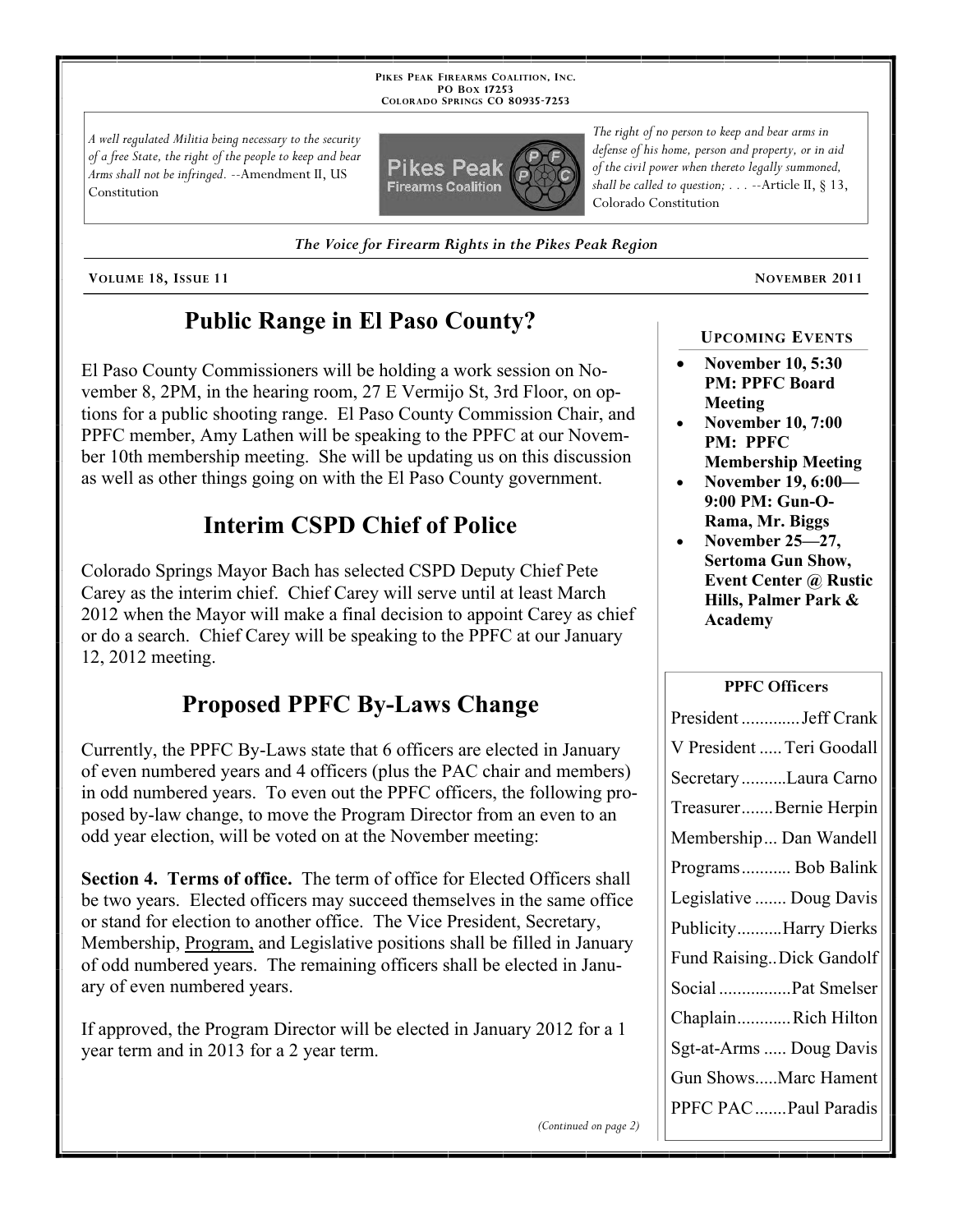**PIKES PEAK FIREARMS COALITION, INC. PO BOX 17253 COLORADO SPRINGS CO 80935 -7253**

*A well regulated Militia being necessary to the security of a free State, the right of the people to keep and bear Arms shall not be infringed.* --Amendment II, US Constitution



*The Voice for Firearm Rights in the Pikes Peak Region*

**VOLUME 18, ISSUE 11 NOVEMBER 2011**

## **Public Range in El Paso County?**

El Paso County Commissioners will be holding a work session on November 8, 2PM, in the hearing room, 27 E Vermijo St, 3rd Floor, on options for a public shooting range. El Paso County Commission Chair, and PPFC member, Amy Lathen will be speaking to the PPFC at our November 10th membership meeting. She will be updating us on this discussion as well as other things going on with the El Paso County government.

# **Interim CSPD Chief of Police**

Colorado Springs Mayor Bach has selected CSPD Deputy Chief Pete Carey as the interim chief. Chief Carey will serve until at least March 2012 when the Mayor will make a final decision to appoint Carey as chief or do a search. Chief Carey will be speaking to the PPFC at our January 12, 2012 meeting.

# **Proposed PPFC By-Laws Change**

Currently, the PPFC By-Laws state that 6 officers are elected in January of even numbered years and 4 officers (plus the PAC chair and members) in odd numbered years. To even out the PPFC officers, the following proposed by-law change, to move the Program Director from an even to an odd year election, will be voted on at the November meeting:

**Section 4. Terms of office.** The term of office for Elected Officers shall be two years. Elected officers may succeed themselves in the same office or stand for election to another office. The Vice President, Secretary, Membership, Program, and Legislative positions shall be filled in January of odd numbered years. The remaining officers shall be elected in January of even numbered years.

If approved, the Program Director will be elected in January 2012 for a 1 year term and in 2013 for a 2 year term.

*The right of no person to keep and bear arms in defense of his home, person and property, or in aid of the civil power when thereto legally summoned, shall be called to question; . . .* --Article II, § 13, Colorado Constitution

#### **UPCOMING EVENTS**

- **November 10, 5:30 PM: PPFC Board Meeting**
- **November 10, 7:00 PM: PPFC**
- **Membership Meeting November 19, 6:00— 9:00 PM: Gun-O-Rama, Mr. Biggs**
- **November 25—27, Sertoma Gun Show, Event Center @ Rustic Hills, Palmer Park & Academy**

#### **PPFC Officers**

*(Continued on page 2)*